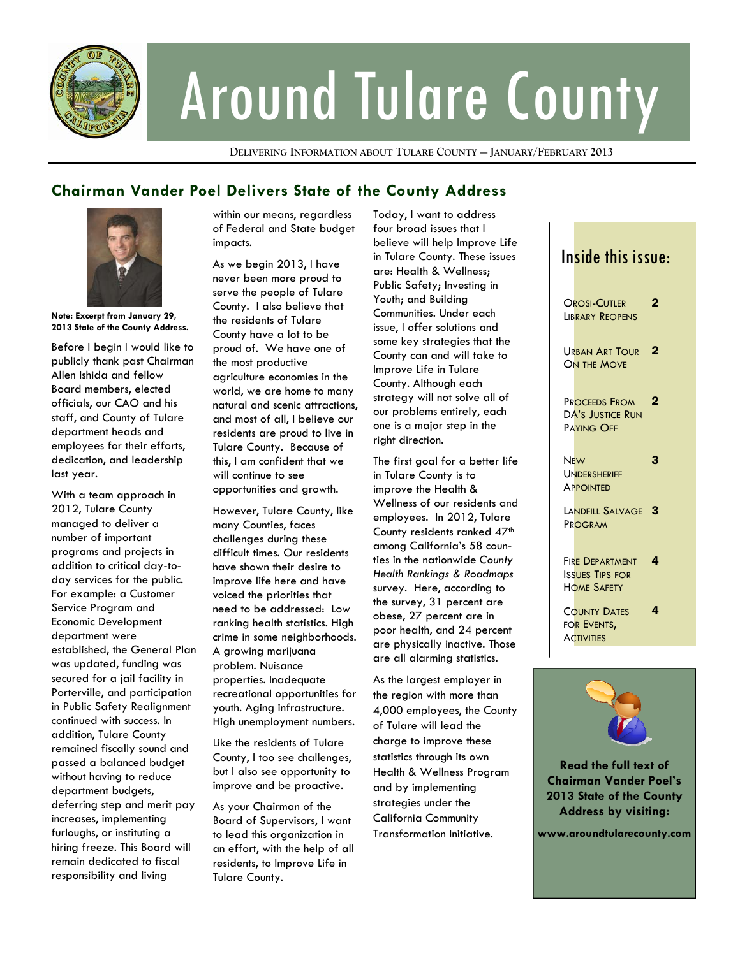

# Around Tulare County

**DELIVERING INFORMATION ABOUT TULARE COUNTY — JANUARY/FEBRUARY 2013**

### **Chairman Vander Poel Delivers State of the County Address**



**Note: Excerpt from January 29, 2013 State of the County Address.** 

Before I begin I would like to publicly thank past Chairman Allen Ishida and fellow Board members, elected officials, our CAO and his staff, and County of Tulare department heads and employees for their efforts, dedication, and leadership last year.

With a team approach in 2012, Tulare County managed to deliver a number of important programs and projects in addition to critical day-today services for the public. For example: a Customer Service Program and Economic Development department were established, the General Plan was updated, funding was secured for a jail facility in Porterville, and participation in Public Safety Realignment continued with success. In addition, Tulare County remained fiscally sound and passed a balanced budget without having to reduce department budgets, deferring step and merit pay increases, implementing furloughs, or instituting a hiring freeze. This Board will remain dedicated to fiscal responsibility and living

within our means, regardless of Federal and State budget impacts.

As we begin 2013, I have never been more proud to serve the people of Tulare County. I also believe that the residents of Tulare County have a lot to be proud of. We have one of the most productive agriculture economies in the world, we are home to many natural and scenic attractions, and most of all, I believe our residents are proud to live in Tulare County. Because of this, I am confident that we will continue to see opportunities and growth.

However, Tulare County, like many Counties, faces challenges during these difficult times. Our residents have shown their desire to improve life here and have voiced the priorities that need to be addressed: Low ranking health statistics. High crime in some neighborhoods. A growing marijuana problem. Nuisance properties. Inadequate recreational opportunities for youth. Aging infrastructure. High unemployment numbers.

Like the residents of Tulare County, I too see challenges, but I also see opportunity to improve and be proactive.

As your Chairman of the Board of Supervisors, I want to lead this organization in an effort, with the help of all residents, to Improve Life in Tulare County.

Today, I want to address four broad issues that I believe will help Improve Life in Tulare County. These issues are: Health & Wellness; Public Safety; Investing in Youth; and Building Communities. Under each issue, I offer solutions and some key strategies that the County can and will take to Improve Life in Tulare County. Although each strategy will not solve all of our problems entirely, each one is a major step in the right direction.

The first goal for a better life in Tulare County is to improve the Health & Wellness of our residents and employees. In 2012, Tulare County residents ranked 47<sup>th</sup> among California's 58 counties in the nationwide *County Health Rankings & Roadmaps* survey. Here, according to the survey, 31 percent are obese, 27 percent are in poor health, and 24 percent are physically inactive. Those are all alarming statistics.

As the largest employer in the region with more than 4,000 employees, the County of Tulare will lead the charge to improve these statistics through its own Health & Wellness Program and by implementing strategies under the California Community Transformation Initiative.

#### Inside this issue: **OROSI-CUTLER LIBRARY REOPENS** 2 URBAN ART TOUR<sup>2</sup> ON THE MOVE PROCEEDS FROM DA'S JUSTICE RUN PAYING OFF 2 **NEW UNDERSHERIFF APPOINTED** 3 LANDFILL SALVAGE 3 PROGRAM FIRE DEPARTMENT ISSUES TIPS FOR HOME SAFETY 4 COUNTY DATES FOR EVENTS, **ACTIVITIES** 4



**COUNTY NEWS. LIKE Read the full text of TULARE FACEBOOK 2013 State of the County FAN PAGE AT: Address by visiting: Chairman Vander Poel's** 

**www.facebook.com/ CountyofTulare www.aroundtularecounty.com**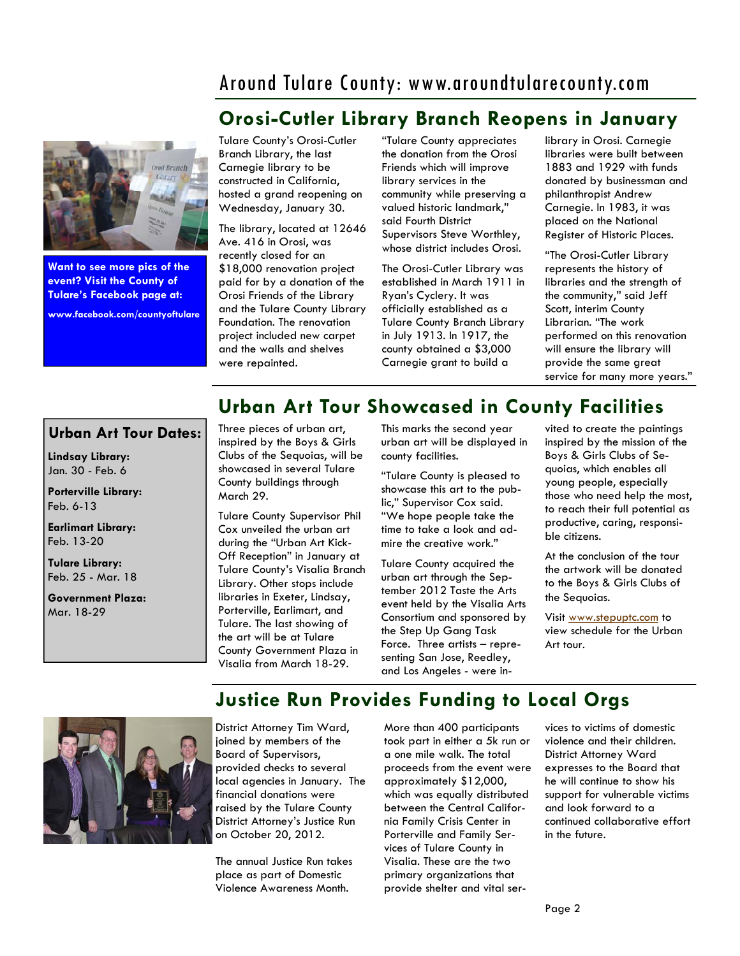## Around Tulare County: www.aroundtularecounty.com

## **Orosi-Cutler Library Branch Reopens in January**



**Want to see more pics of the event? Visit the County of Tulare's Facebook page at:** 

**www.facebook.com/countyoftulare** 

Tulare County's Orosi-Cutler Branch Library, the last Carnegie library to be constructed in California, hosted a grand reopening on Wednesday, January 30.

The library, located at 12646 Ave. 416 in Orosi, was recently closed for an \$18,000 renovation project paid for by a donation of the Orosi Friends of the Library and the Tulare County Library Foundation. The renovation project included new carpet and the walls and shelves were repainted.

"Tulare County appreciates the donation from the Orosi Friends which will improve library services in the community while preserving a valued historic landmark," said Fourth District Supervisors Steve Worthley, whose district includes Orosi.

The Orosi-Cutler Library was established in March 1911 in Ryan's Cyclery. It was officially established as a Tulare County Branch Library in July 1913. In 1917, the county obtained a \$3,000 Carnegie grant to build a

library in Orosi. Carnegie libraries were built between 1883 and 1929 with funds donated by businessman and philanthropist Andrew Carnegie. In 1983, it was placed on the National Register of Historic Places.

"The Orosi-Cutler Library represents the history of libraries and the strength of the community," said Jeff Scott, interim County Librarian. "The work performed on this renovation will ensure the library will provide the same great service for many more years."

## **Urban Art Tour Showcased in County Facilities**

#### **Urban Art Tour Dates:**

**Lindsay Library:**  Jan. 30 - Feb. 6

**Porterville Library:**  Feb. 6-13

**Earlimart Library:**  Feb. 13-20

**Tulare Library:**  Feb. 25 - Mar. 18

**Government Plaza:**  Mar. 18-29

#### Three pieces of urban art, inspired by the Boys & Girls Clubs of the Sequoias, will be showcased in several Tulare County buildings through March 29.

Tulare County Supervisor Phil Cox unveiled the urban art during the "Urban Art Kick-Off Reception" in January at Tulare County's Visalia Branch Library. Other stops include libraries in Exeter, Lindsay, Porterville, Earlimart, and Tulare. The last showing of the art will be at Tulare County Government Plaza in Visalia from March 18-29.

This marks the second year urban art will be displayed in county facilities.

"Tulare County is pleased to showcase this art to the public," Supervisor Cox said. "We hope people take the time to take a look and admire the creative work."

Tulare County acquired the urban art through the September 2012 Taste the Arts event held by the Visalia Arts Consortium and sponsored by the Step Up Gang Task Force. Three artists – representing San Jose, Reedley, and Los Angeles - were invited to create the paintings inspired by the mission of the Boys & Girls Clubs of Sequoias, which enables all young people, especially those who need help the most, to reach their full potential as productive, caring, responsible citizens.

At the conclusion of the tour the artwork will be donated to the Boys & Girls Clubs of the Sequoias.

Visit www.stepuptc.com to view schedule for the Urban Art tour.

## **Justice Run Provides Funding to Local Orgs**



District Attorney Tim Ward, joined by members of the Board of Supervisors, provided checks to several local agencies in January. The financial donations were raised by the Tulare County District Attorney's Justice Run on October 20, 2012.

The annual Justice Run takes place as part of Domestic Violence Awareness Month.

More than 400 participants took part in either a 5k run or a one mile walk. The total proceeds from the event were approximately \$12,000, which was equally distributed between the Central California Family Crisis Center in Porterville and Family Services of Tulare County in Visalia. These are the two primary organizations that provide shelter and vital services to victims of domestic violence and their children. District Attorney Ward expresses to the Board that he will continue to show his support for vulnerable victims and look forward to a continued collaborative effort in the future.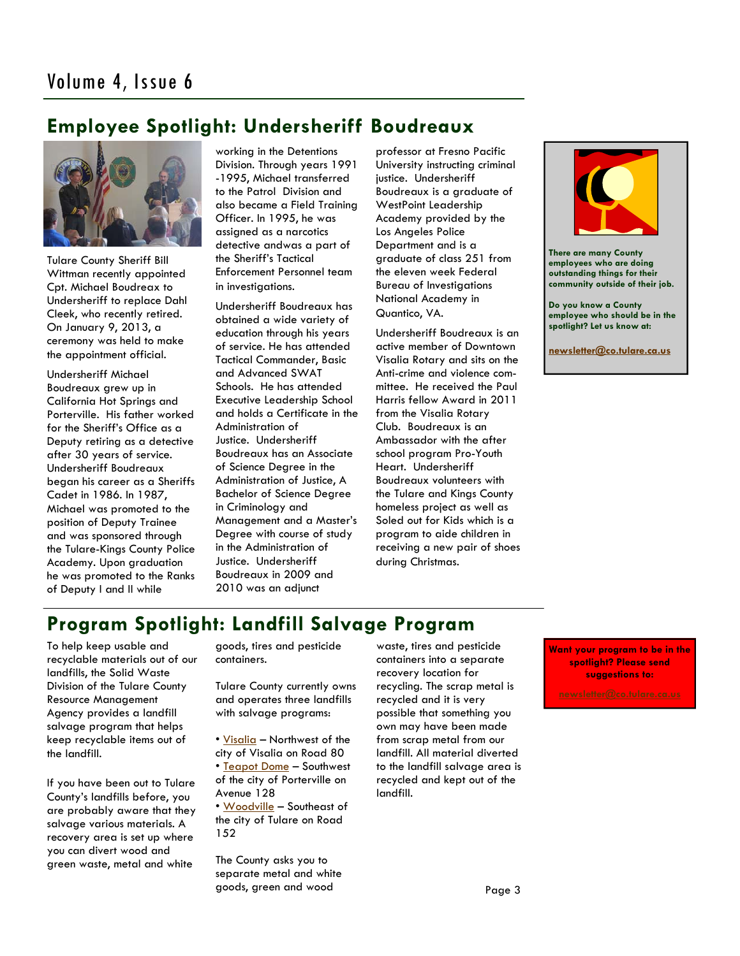## **Employee Spotlight: Undersheriff Boudreaux**



Tulare County Sheriff Bill Wittman recently appointed Cpt. Michael Boudreax to Undersheriff to replace Dahl Cleek, who recently retired. On January 9, 2013, a ceremony was held to make the appointment official.

Undersheriff Michael Boudreaux grew up in California Hot Springs and Porterville. His father worked for the Sheriff's Office as a Deputy retiring as a detective after 30 years of service. Undersheriff Boudreaux began his career as a Sheriffs Cadet in 1986. In 1987, Michael was promoted to the position of Deputy Trainee and was sponsored through the Tulare-Kings County Police Academy. Upon graduation he was promoted to the Ranks of Deputy I and II while

working in the Detentions Division. Through years 1991 -1995, Michael transferred to the Patrol Division and also became a Field Training Officer. In 1995, he was assigned as a narcotics detective andwas a part of the Sheriff's Tactical Enforcement Personnel team in investigations.

Undersheriff Boudreaux has obtained a wide variety of education through his years of service. He has attended Tactical Commander, Basic and Advanced SWAT Schools. He has attended Executive Leadership School and holds a Certificate in the Administration of Justice. Undersheriff Boudreaux has an Associate of Science Degree in the Administration of Justice, A Bachelor of Science Degree in Criminology and Management and a Master's Degree with course of study in the Administration of Justice. Undersheriff Boudreaux in 2009 and 2010 was an adjunct

professor at Fresno Pacific University instructing criminal justice. Undersheriff Boudreaux is a graduate of WestPoint Leadership Academy provided by the Los Angeles Police Department and is a graduate of class 251 from the eleven week Federal Bureau of Investigations National Academy in Quantico, VA.

Undersheriff Boudreaux is an active member of Downtown Visalia Rotary and sits on the Anti-crime and violence committee. He received the Paul Harris fellow Award in 2011 from the Visalia Rotary Club. Boudreaux is an Ambassador with the after school program Pro-Youth Heart. Undersheriff Boudreaux volunteers with the Tulare and Kings County homeless project as well as Soled out for Kids which is a program to aide children in receiving a new pair of shoes during Christmas.



**There are many County employees who are doing outstanding things for their community outside of their job.** 

**Do you know a County employee who should be in the spotlight? Let us know at:** 

**newsletter@co.tulare.ca.us**

## **Program Spotlight: Landfill Salvage Program**

To help keep usable and recyclable materials out of our landfills, the Solid Waste Division of the Tulare County Resource Management Agency provides a landfill salvage program that helps keep recyclable items out of the landfill.

If you have been out to Tulare County's landfills before, you are probably aware that they salvage various materials. A recovery area is set up where you can divert wood and green waste, metal and white

goods, tires and pesticide containers.

Tulare County currently owns and operates three landfills with salvage programs:

- Visalia Northwest of the city of Visalia on Road 80
- Teapot Dome Southwest of the city of Porterville on Avenue 128
- Woodville Southeast of the city of Tulare on Road 152

The County asks you to separate metal and white goods, green and wood

waste, tires and pesticide containers into a separate recovery location for recycling. The scrap metal is recycled and it is very possible that something you own may have been made from scrap metal from our landfill. All material diverted to the landfill salvage area is recycled and kept out of the landfill.

**Want your program to be in the spotlight? Please send suggestions to:**